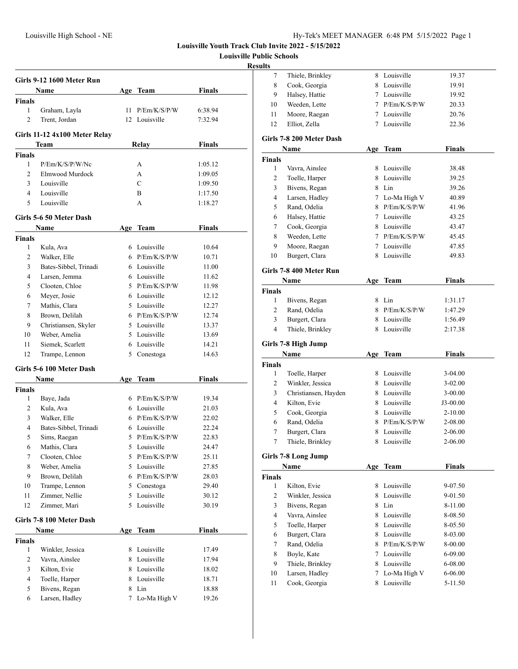**Louisville Public Schools**

## **Resu**

|                | Girls 9-12 1600 Meter Run     |     |                              |               |
|----------------|-------------------------------|-----|------------------------------|---------------|
|                | Name                          | Age | Team                         | <b>Finals</b> |
| <b>Finals</b>  |                               |     |                              |               |
| 1              | Graham, Layla                 | 11  | P/Em/K/S/P/W                 | 6:38.94       |
| 2              | Trent, Jordan                 |     | 12 Louisville                | 7:32.94       |
|                | Girls 11-12 4x100 Meter Relay |     |                              |               |
|                | Team                          |     | Relay                        | Finals        |
| <b>Finals</b>  |                               |     |                              |               |
| 1              | P/Em/K/S/P/W/Nc               |     | А                            | 1:05.12       |
| $\overline{c}$ | Elmwood Murdock               |     | A                            | 1:09.05       |
| 3              | Louisville                    |     | C                            | 1:09.50       |
| 4              | Louisville                    |     | B                            | 1:17.50       |
| 5              | Louisville                    |     | А                            | 1:18.27       |
|                |                               |     |                              |               |
|                | Girls 5-6 50 Meter Dash       |     |                              |               |
|                | Name                          | Age | Team                         | <b>Finals</b> |
| <b>Finals</b>  |                               |     |                              |               |
| 1              | Kula, Ava                     |     | 6 Louisville                 | 10.64         |
| 2              | Walker, Elle                  |     | 6 P/Em/K/S/P/W               | 10.71         |
| 3              | Bates-Sibbel, Trinadi         |     | 6 Louisville                 | 11.00         |
| 4              | Larsen, Jemma                 |     | 6 Louisville                 | 11.62         |
| 5              | Clooten, Chloe                |     | 5 P/Em/K/S/P/W               | 11.98         |
| 6              | Meyer, Josie                  |     | 6 Louisville<br>5 Louisville | 12.12         |
| 7              | Mathis, Clara                 |     |                              | 12.27         |
| 8              | Brown, Delilah                |     | 6 $P/Em/K/S/P/W$             | 12.74         |
| 9              | Christiansen, Skyler          |     | 5 Louisville                 | 13.37         |
| 10             | Weber, Amelia                 |     | 5 Louisville                 | 13.69         |
| 11             | Siemek, Scarlett              |     | 6 Louisville                 | 14.21         |
| 12             | Trampe, Lennon                |     | 5 Conestoga                  | 14.63         |
|                | Girls 5-6 100 Meter Dash      |     |                              |               |
|                | Name                          |     | Age Team                     | <b>Finals</b> |
| Finals         |                               |     |                              |               |
| 1              | Baye, Jada                    |     | 6 $P/Em/K/S/P/W$             | 19.34         |
| 2              | Kula, Ava                     |     | 6 Louisville                 | 21.03         |
| 3              | Walker, Elle                  |     | 6 $P/Em/K/S/P/W$             | 22.02         |
| 4              | Bates-Sibbel, Trinadi         |     | 6 Louisville                 | 22.24         |
| 5              | Sims, Raegan                  | 5   | P/Em/K/S/P/W                 | 22.83         |
| 6              | Mathis, Clara                 | 5   | Louisville                   | 24.47         |
| 7              | Clooten, Chloe                | 5   | P/Em/K/S/P/W                 | 25.11         |
| 8              | Weber, Amelia                 |     | 5 Louisville                 | 27.85         |
| 9              | Brown, Delilah                |     | 6 P/Em/K/S/P/W               | 28.03         |
| 10             | Trampe, Lennon                |     | 5 Conestoga                  | 29.40         |
| 11             | Zimmer, Nellie                |     | 5 Louisville                 | 30.12         |
| 12             | Zimmer, Mari                  |     | 5 Louisville                 | 30.19         |
|                | Girls 7-8 100 Meter Dash      |     |                              |               |
|                | Name                          | Age | <b>Team</b>                  | <b>Finals</b> |
| <b>Finals</b>  |                               |     |                              |               |
| 1              | Winkler, Jessica              |     | 8 Louisville                 | 17.49         |
| 2              | Vavra, Ainslee                |     | 8 Louisville                 | 17.94         |
| 3              | Kilton, Evie                  |     | 8 Louisville                 | 18.02         |
| 4              | Toelle, Harper                |     | 8 Louisville                 | 18.71         |
| 5              | Bivens, Regan                 | 8   | Lin                          | 18.88         |
| 6              | Larsen, Hadley                | 7   | Lo-Ma High V                 | 19.26         |
|                |                               |     |                              |               |

| 7                                    | Thiele, Brinkley         |   | 8 Louisville   | 19.37         |
|--------------------------------------|--------------------------|---|----------------|---------------|
| 8                                    | Cook, Georgia            |   | 8 Louisville   | 19.91         |
| 9                                    | Halsey, Hattie           |   | 7 Louisville   | 19.92         |
| 10                                   | Weeden, Lette            |   | 7 P/Em/K/S/P/W | 20.33         |
| 11                                   | Moore, Raegan            |   | 7 Louisville   | 20.76         |
| 12                                   | Elliot, Zella            | 7 | Louisville     | 22.36         |
|                                      | Girls 7-8 200 Meter Dash |   |                |               |
|                                      | Name                     |   | Age Team       | <b>Finals</b> |
| Finals                               |                          |   |                |               |
| 1                                    | Vavra, Ainslee           | 8 | Louisville     | 38.48         |
| 2                                    | Toelle, Harper           | 8 | Louisville     | 39.25         |
| 3                                    | Bivens, Regan            |   | 8 Lin          | 39.26         |
| 4                                    | Larsen, Hadley           |   | 7 Lo-Ma High V | 40.89         |
| 5                                    | Rand, Odelia             |   | 8 P/Em/K/S/P/W |               |
| 6                                    |                          |   | 7 Louisville   | 41.96         |
|                                      | Halsey, Hattie           |   | 8 Louisville   | 43.25         |
| 7                                    | Cook, Georgia            |   |                | 43.47         |
| 8                                    | Weeden, Lette            |   | 7 P/Em/K/S/P/W | 45.45         |
| 9                                    | Moore, Raegan            |   | 7 Louisville   | 47.85         |
| 10                                   | Burgert, Clara           | 8 | Louisville     | 49.83         |
|                                      | Girls 7-8 400 Meter Run  |   |                |               |
|                                      | Name                     |   | Age Team       | <b>Finals</b> |
| Finals                               |                          |   |                |               |
| $\mathbf{1}$                         | Bivens, Regan            | 8 | Lin            | 1:31.17       |
| 2                                    | Rand, Odelia             |   | 8 P/Em/K/S/P/W | 1:47.29       |
| 3                                    | Burgert, Clara           |   | 8 Louisville   | 1:56.49       |
| 4                                    | Thiele, Brinkley         | 8 | Louisville     | 2:17.38       |
|                                      |                          |   |                |               |
|                                      |                          |   |                |               |
|                                      | Girls 7-8 High Jump      |   |                |               |
|                                      | Name                     |   | Age Team       | <b>Finals</b> |
|                                      |                          |   |                |               |
| 1                                    | Toelle, Harper           |   | 8 Louisville   | 3-04.00       |
| 2                                    | Winkler, Jessica         |   | 8 Louisville   | $3-02.00$     |
| 3                                    | Christiansen, Hayden     |   | 8 Louisville   | $3-00.00$     |
| 4                                    | Kilton, Evie             |   | 8 Louisville   | J3-00.00      |
| 5                                    | Cook, Georgia            |   | 8 Louisville   | $2 - 10.00$   |
| 6                                    | Rand, Odelia             | 8 | P/Em/K/S/P/W   | 2-08.00       |
| 7                                    | Burgert, Clara           | 8 | Louisville     | 2-06.00       |
| $\tau$                               | Thiele, Brinkley         |   | 8 Louisville   | 2-06.00       |
|                                      | Girls 7-8 Long Jump      |   |                |               |
|                                      | Name                     |   | Age Team       | <b>Finals</b> |
|                                      |                          |   |                |               |
| 1                                    | Kilton, Evie             | 8 | Louisville     | 9-07.50       |
| 2                                    | Winkler, Jessica         | 8 | Louisville     | 9-01.50       |
| 3                                    | Bivens, Regan            | 8 | Lin            | 8-11.00       |
| 4                                    | Vavra, Ainslee           | 8 | Louisville     | 8-08.50       |
| 5                                    | Toelle, Harper           | 8 | Louisville     | 8-05.50       |
| 6                                    | Burgert, Clara           | 8 | Louisville     | 8-03.00       |
| 7                                    | Rand, Odelia             | 8 | P/Em/K/S/P/W   | 8-00.00       |
| 8                                    | Boyle, Kate              |   | 7 Louisville   | 6-09.00       |
| 9                                    | Thiele, Brinkley         | 8 | Louisville     | 6-08.00       |
| <b>Finals</b><br><b>Finals</b><br>10 | Larsen, Hadley           | 7 | Lo-Ma High V   | 6-06.00       |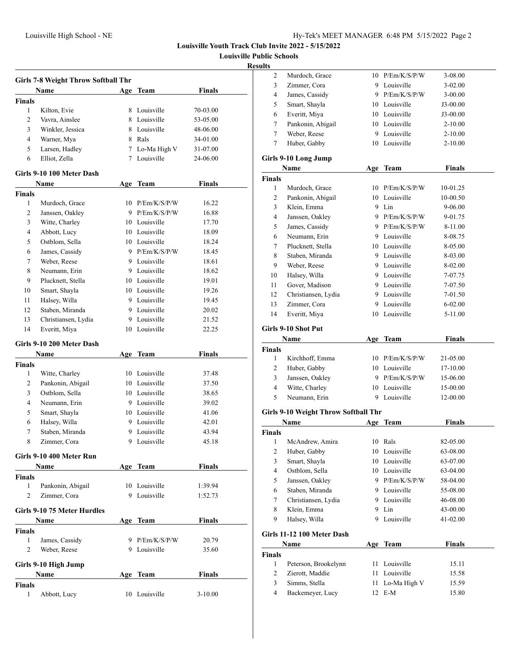**Louisville Public Schools**

### **Results**

|                | <b>Girls 7-8 Weight Throw Softball Thr</b> |   |                                |               |  |
|----------------|--------------------------------------------|---|--------------------------------|---------------|--|
|                | Name                                       |   | Age Team                       | Finals        |  |
| <b>Finals</b>  |                                            |   |                                |               |  |
| 1              | Kilton, Evie                               |   | 8 Louisville                   | 70-03.00      |  |
| 2              | Vavra, Ainslee                             |   | 8 Louisville                   | 53-05.00      |  |
| 3              | Winkler, Jessica                           |   | 8 Louisville                   | 48-06.00      |  |
| 4              | Warner, Mya                                |   | 8 Rals                         | 34-01.00      |  |
| 5              | Larsen, Hadley                             |   | 7 Lo-Ma High V                 | 31-07.00      |  |
| 6              | Elliot, Zella                              | 7 | Louisville                     | 24-06.00      |  |
|                | Girls 9-10 100 Meter Dash                  |   |                                |               |  |
|                | Name                                       |   | Age Team                       | <b>Finals</b> |  |
| Finals         |                                            |   |                                |               |  |
| 1              | Murdoch, Grace                             |   | 10 P/Em/K/S/P/W                | 16.22         |  |
| 2              | Janssen, Oakley                            |   | 9 P/Em/K/S/P/W                 | 16.88         |  |
| 3              | Witte, Charley                             |   | 10 Louisville                  | 17.70         |  |
| 4              | Abbott, Lucy                               |   | 10 Louisville                  | 18.09         |  |
| 5              | Ostblom, Sella                             |   | 10 Louisville                  | 18.24         |  |
| 6              | James, Cassidy                             |   | 9 P/Em/K/S/P/W                 | 18.45         |  |
| 7              | Weber, Reese                               |   | 9 Louisville                   | 18.61         |  |
| 8              | Neumann, Erin                              |   | 9 Louisville                   | 18.62         |  |
| 9              | Plucknett. Stella                          |   | 10 Louisville                  | 19.01         |  |
| 10             | Smart, Shayla                              |   | 10 Louisville                  | 19.26         |  |
| 11             | Halsey, Willa                              |   | 9 Louisville                   | 19.45         |  |
| 12             | Staben, Miranda                            |   | 9 Louisville                   | 20.02         |  |
| 13             | Christiansen, Lydia                        |   | 9 Louisville                   | 21.52         |  |
| 14             | Everitt, Miya                              |   | 10 Louisville                  | 22.25         |  |
|                |                                            |   |                                |               |  |
|                | Girls 9-10 200 Meter Dash                  |   |                                |               |  |
|                | Name                                       |   | Age Team                       | <b>Finals</b> |  |
| <b>Finals</b>  |                                            |   |                                |               |  |
| 1              | Witte, Charley                             |   | 10 Louisville                  | 37.48         |  |
| 2              | Pankonin, Abigail                          |   | 10 Louisville<br>10 Louisville | 37.50         |  |
| 3              | Ostblom, Sella                             |   |                                | 38.65         |  |
| $\overline{4}$ | Neumann, Erin                              |   | 9 Louisville                   | 39.02         |  |
| 5              | Smart, Shayla                              |   | 10 Louisville                  | 41.06         |  |
| 6              | Halsey, Willa                              |   | 9 Louisville                   | 42.01         |  |
| 7              | Staben, Miranda                            |   | 9 Louisville                   | 43.94         |  |
| 8              | Zimmer, Cora                               | 9 | Louisville                     | 45.18         |  |
|                | Girls 9-10 400 Meter Run                   |   |                                |               |  |
|                | Name                                       |   | Age Team                       | <b>Finals</b> |  |
| <b>Finals</b>  |                                            |   |                                |               |  |
| 1              | Pankonin, Abigail                          |   | 10 Louisville                  | 1:39.94       |  |
| 2              | Zimmer, Cora                               |   | 9 Louisville                   | 1:52.73       |  |
|                | Girls 9-10 75 Meter Hurdles                |   |                                |               |  |
|                | Name                                       |   | Age Team                       | <b>Finals</b> |  |
|                |                                            |   |                                |               |  |
| Finals         |                                            |   |                                |               |  |
| 1              | James, Cassidy                             |   | 9 P/Em/K/S/P/W                 | 20.79         |  |
| $\overline{c}$ | Weber, Reese                               |   | 9 Louisville                   | 35.60         |  |
|                | Girls 9-10 High Jump                       |   |                                |               |  |
|                | Name                                       |   | Age Team                       | <b>Finals</b> |  |
| <b>Finals</b>  |                                            |   |                                |               |  |

| $\mathfrak{2}$          | Murdoch, Grace                       | 10  | P/Em/K/S/P/W                   | 3-08.00              |
|-------------------------|--------------------------------------|-----|--------------------------------|----------------------|
| 3                       | Zimmer, Cora                         |     | 9 Louisville                   | 3-02.00              |
| $\overline{4}$          | James, Cassidy                       |     | 9 P/Em/K/S/P/W                 | 3-00.00              |
| 5                       | Smart, Shayla                        |     | 10 Louisville                  | J3-00.00             |
| 6                       | Everitt, Miya                        |     | 10 Louisville                  | $J3-00.00$           |
| 7                       | Pankonin, Abigail                    |     | 10 Louisville                  | 2-10.00              |
| 7                       | Weber, Reese                         |     | 9 Louisville                   | $2 - 10.00$          |
| 7                       | Huber, Gabby                         |     | 10 Louisville                  | $2 - 10.00$          |
|                         | Girls 9-10 Long Jump                 |     |                                |                      |
|                         | Name                                 |     | Age Team                       | <b>Finals</b>        |
| <b>Finals</b>           |                                      |     |                                |                      |
| 1                       | Murdoch, Grace                       |     | 10 P/Em/K/S/P/W                | 10-01.25             |
| 2                       | Pankonin, Abigail                    |     | 10 Louisville                  | 10-00.50             |
| 3                       | Klein, Emma                          |     | 9 Lin                          | 9-06.00              |
| 4                       | Janssen, Oakley                      |     | 9 P/Em/K/S/P/W                 | 9-01.75              |
| 5                       | James, Cassidy                       |     | 9 P/Em/K/S/P/W                 | 8-11.00              |
| 6                       | Neumann, Erin                        |     | 9 Louisville                   | 8-08.75              |
| 7                       | Plucknett, Stella                    |     | 10 Louisville                  | 8-05.00              |
| 8                       | Staben, Miranda                      |     | 9 Louisville                   | 8-03.00              |
| 9                       | Weber, Reese                         |     | 9 Louisville                   | 8-02.00              |
| 10                      | Halsey, Willa                        |     | 9 Louisville                   | 7-07.75              |
| 11                      | Gover, Madison                       |     | 9 Louisville                   | 7-07.50              |
| 12                      | Christiansen, Lydia                  |     | 9 Louisville                   | 7-01.50              |
| 13                      | Zimmer, Cora                         | 9   | Louisville                     | $6 - 02.00$          |
| 14                      | Everitt, Miya                        | 10  | Louisville                     | 5-11.00              |
|                         |                                      |     |                                |                      |
|                         | Girls 9-10 Shot Put                  |     |                                |                      |
|                         | <b>Name</b>                          |     | Age Team                       | <b>Finals</b>        |
| Finals<br>1             | Kirchhoff, Emma                      |     | 10 P/Em/K/S/P/W                | 21-05.00             |
| 2                       | Huber, Gabby                         |     | 10 Louisville                  | 17-10.00             |
| 3                       | Janssen, Oakley                      |     | 9 P/Em/K/S/P/W                 | 15-06.00             |
| $\overline{4}$          | Witte, Charley                       |     | 10 Louisville                  | 15-00.00             |
| 5                       | Neumann, Erin                        |     | 9 Louisville                   | 12-00.00             |
|                         |                                      |     |                                |                      |
|                         | Girls 9-10 Weight Throw Softball Thr |     |                                |                      |
|                         | Name                                 |     | Age Team                       | <b>Finals</b>        |
| <b>Finals</b>           |                                      |     |                                |                      |
| 1                       | McAndrew, Amira                      |     | 10 Rals                        | 82-05.00             |
| 2                       | Huber, Gabby                         | 10  | Louisville                     | 63-08.00             |
| 3                       | Smart, Shayla                        | 10  | Louisville                     | 63-07.00             |
| $\overline{\mathbf{4}}$ | Ostblom, Sella<br>Janssen, Oakley    |     | 10 Louisville                  | 63-04.00             |
| 5                       |                                      |     | 9 P/Em/K/S/P/W<br>9 Louisville | 58-04.00             |
| 6                       | Staben, Miranda                      |     | 9 Louisville                   | 55-08.00             |
| 7<br>8                  | Christiansen, Lydia                  | 9   | Lin                            | 46-08.00             |
| 9                       | Klein, Emma<br>Halsey, Willa         | 9   | Louisville                     | 43-00.00<br>41-02.00 |
|                         |                                      |     |                                |                      |
|                         | Girls 11-12 100 Meter Dash           |     |                                |                      |
|                         | Name                                 | Age | <b>Team</b>                    | <b>Finals</b>        |
| <b>Finals</b>           |                                      |     |                                |                      |
| $\mathbf{1}$            | Peterson, Brookelynn                 | 11  | Louisville                     | 15.11                |
| 2                       | Zierott, Maddie                      | 11  | Louisville                     | 15.58                |
| 3                       | Simms, Stella                        | 11  | Lo-Ma High V                   | 15.59                |
| $\overline{4}$          | Backemeyer, Lucy                     | 12  | $E-M$                          | 15.80                |
|                         |                                      |     |                                |                      |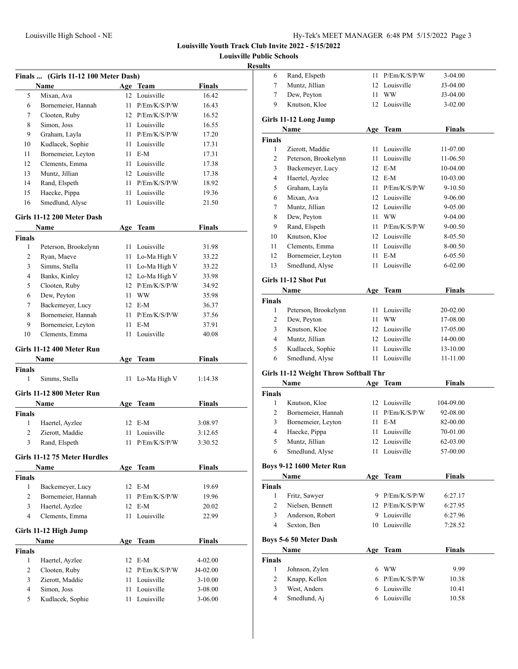**Louisville Public Schools**

### **Result**

|               | Finals  (Girls 11-12 100 Meter Dash) |      |                 |               |
|---------------|--------------------------------------|------|-----------------|---------------|
|               | <b>Name</b>                          |      | Age Team        | <b>Finals</b> |
| 5             | Mixan, Ava                           |      | 12 Louisville   | 16.42         |
| 6             | Bornemeier, Hannah                   |      | 11 P/Em/K/S/P/W | 16.43         |
| 7             | Clooten, Ruby                        |      | 12 P/Em/K/S/P/W | 16.52         |
| 8             | Simon, Joss                          |      | 11 Louisville   | 16.55         |
| 9             | Graham, Layla                        |      | 11 P/Em/K/S/P/W | 17.20         |
| 10            | Kudlacek, Sophie                     |      | 11 Louisville   | 17.31         |
| 11            | Bornemeier, Leyton                   |      | 11 E-M          | 17.31         |
| 12            | Clements, Emma                       |      | 11 Louisville   | 17.38         |
| 13            | Muntz, Jillian                       |      | 12 Louisville   | 17.38         |
| 14            | Rand, Elspeth                        |      | 11 P/Em/K/S/P/W | 18.92         |
| 15            | Haecke, Pippa                        |      | 11 Louisville   | 19.36         |
| 16            | Smedlund, Alyse                      |      | 11 Louisville   | 21.50         |
|               | Girls 11-12 200 Meter Dash           |      |                 |               |
|               | <b>Name</b>                          | Age  | <b>Team</b>     | <b>Finals</b> |
| <b>Finals</b> |                                      |      |                 |               |
| 1             | Peterson, Brookelynn                 |      | 11 Louisville   | 31.98         |
| 2             | Ryan, Maeve                          |      | 11 Lo-Ma High V | 33.22         |
| 3             | Simms, Stella                        |      | 11 Lo-Ma High V | 33.22         |
| 4             | Banks, Kinley                        |      | 12 Lo-Ma High V | 33.98         |
| 5             | Clooten, Ruby                        |      | 12 P/Em/K/S/P/W | 34.92         |
| 6             | Dew, Peyton                          |      | 11 WW           | 35.98         |
| 7             | Backemeyer, Lucy                     |      | 12 E-M          | 36.37         |
| 8             | Bornemeier, Hannah                   |      | 11 P/Em/K/S/P/W | 37.56         |
| 9             | Bornemeier, Leyton                   |      | 11 E-M          | 37.91         |
| 10            | Clements, Emma                       | 11 - | Louisville      | 40.08         |
|               | Girls 11-12 400 Meter Run            |      |                 |               |
|               | Name                                 | Age  | Team            | Finals        |
| <b>Finals</b> |                                      |      |                 |               |
| 1             | Simms, Stella                        | 11 - | Lo-Ma High V    | 1:14.38       |
|               |                                      |      |                 |               |
|               | Girls 11-12 800 Meter Run            |      |                 |               |
| <b>Finals</b> | Name                                 | Age  | <b>Team</b>     | <b>Finals</b> |
| 1             | Haertel, Ayzlee                      |      | 12 E-M          | 3:08.97       |
| 2             | Zierott, Maddie                      | 11 - | Louisville      | 3:12.65       |
| 3             | Rand, Elspeth                        |      | 11 P/Em/K/S/P/W | 3:30.52       |
|               |                                      |      |                 |               |
|               | Girls 11-12 75 Meter Hurdles         |      |                 |               |
|               | Name                                 |      | Age Team        | <b>Finals</b> |
| Finals        |                                      |      |                 |               |
| 1             | Backemeyer, Lucy                     |      | 12 E-M          | 19.69         |
| 2             | Bornemeier, Hannah                   | 11   | P/Em/K/S/P/W    | 19.96         |
| 3             | Haertel, Ayzlee                      | 12   | E-M             | 20.02         |
| 4             | Clements, Emma                       | 11   | Louisville      | 22.99         |
|               | Girls 11-12 High Jump                |      |                 |               |
|               | Name                                 | Age  | <b>Team</b>     | <b>Finals</b> |
| <b>Finals</b> |                                      |      |                 |               |
| 1             | Haertel, Ayzlee                      | 12   | $E-M$           | 4-02.00       |
| 2             | Clooten, Ruby                        |      | 12 P/Em/K/S/P/W | J4-02.00      |
| 3             | Zierott, Maddie                      | 11 - | Louisville      | $3 - 10.00$   |
| 4             | Simon, Joss                          | 11 - | Louisville      | $3 - 08.00$   |
| 5             | Kudlacek, Sophie                     | 11 - | Louisville      | 3-06.00       |

| 6                                        | Rand, Elspeth                         | 11  | P/Em/K/S/P/W                   | 3-04.00        |
|------------------------------------------|---------------------------------------|-----|--------------------------------|----------------|
| 7                                        | Muntz, Jillian                        | 12  | Louisville                     | J3-04.00       |
| 7                                        | Dew, Peyton                           | 11  | WW                             | J3-04.00       |
| 9                                        | Knutson, Kloe                         |     | 12 Louisville                  | 3-02.00        |
|                                          |                                       |     |                                |                |
|                                          | Girls 11-12 Long Jump                 |     |                                |                |
|                                          | Name                                  | Age | <b>Team</b>                    | <b>Finals</b>  |
| <b>Finals</b>                            |                                       |     |                                |                |
| 1                                        | Zierott, Maddie                       | 11  | Louisville                     | 11-07.00       |
| 2                                        | Peterson, Brookelynn                  | 11  | Louisville                     | 11-06.50       |
| 3                                        | Backemeyer, Lucy                      | 12  | E-M                            | 10-04.00       |
| 4                                        | Haertel, Ayzlee                       | 12  | E-M                            | 10-03.00       |
| 5                                        | Graham, Layla                         | 11  | P/Em/K/S/P/W                   | 9-10.50        |
| 6                                        | Mixan, Ava                            |     | 12 Louisville                  | $9 - 06.00$    |
| 7                                        | Muntz, Jillian                        |     | 12 Louisville                  | $9 - 05.00$    |
| 8                                        | Dew, Peyton                           |     | 11 WW                          | 9-04.00        |
| 9                                        | Rand, Elspeth                         | 11  | P/Em/K/S/P/W                   | 9-00.50        |
| 10                                       | Knutson, Kloe                         |     | 12 Louisville                  | 8-05.50        |
| 11                                       | Clements, Emma                        |     | 11 Louisville                  | 8-00.50        |
| 12                                       | Bornemeier, Leyton                    | 11  | $E-M$                          | 6-05.50        |
| 13                                       | Smedlund, Alyse                       | 11  | Louisville                     | $6 - 02.00$    |
|                                          |                                       |     |                                |                |
|                                          | Girls 11-12 Shot Put                  |     |                                |                |
|                                          | Name                                  | Age | <b>Team</b>                    | <b>Finals</b>  |
| <b>Finals</b>                            |                                       |     |                                |                |
| 1                                        | Peterson, Brookelynn                  | 11  | Louisville                     | 20-02.00       |
| 2                                        | Dew, Peyton                           | 11  | <b>WW</b>                      | 17-08.00       |
| 3                                        | Knutson, Kloe                         |     | 12 Louisville                  | 17-05.00       |
|                                          |                                       |     |                                |                |
| $\overline{4}$                           | Muntz, Jillian                        |     | 12 Louisville                  | 14-00.00       |
| 5                                        | Kudlacek, Sophie                      | 11  | Louisville                     | 13-10.00       |
| 6                                        | Smedlund, Alyse                       | 11  | Louisville                     | 11-11.00       |
|                                          |                                       |     |                                |                |
|                                          | Girls 11-12 Weight Throw Softball Thr |     |                                |                |
|                                          | Name                                  |     | Age Team                       | <b>Finals</b>  |
|                                          |                                       |     |                                |                |
| 1                                        | Knutson, Kloe                         |     | 12 Louisville                  | 104-09.00      |
| 2                                        | Bornemeier, Hannah                    | 11  | P/Em/K/S/P/W                   | 92-08.00       |
| 3                                        | Bornemeier, Leyton                    | 11  | E-M                            | 82-00.00       |
| 4                                        | Haecke, Pippa                         | 11  | Louisville                     | 70-01.00       |
| 5                                        | Muntz, Jillian                        | 12  | Louisville                     | 62-03.00       |
| 6                                        | Smedlund, Alyse                       | 11  | Louisville                     | 57-00.00       |
|                                          | <b>Boys 9-12 1600 Meter Run</b>       |     |                                |                |
|                                          |                                       |     |                                |                |
|                                          | Name                                  |     | Age Team                       | Finals         |
|                                          |                                       |     |                                |                |
| 1                                        | Fritz, Sawyer                         |     | 9 P/Em/K/S/P/W                 | 6:27.17        |
| 2                                        | Nielsen, Bennett                      |     | 12 P/Em/K/S/P/W                | 6:27.95        |
| 3                                        | Anderson, Robert                      |     | 9 Louisville                   | 6:27.96        |
| 4                                        | Sexton, Ben                           |     | 10 Louisville                  | 7:28.52        |
|                                          | <b>Boys 5-6 50 Meter Dash</b>         |     |                                |                |
|                                          | Name                                  | Age | <b>Team</b>                    | <b>Finals</b>  |
|                                          |                                       |     |                                |                |
| 1                                        |                                       |     | 6 WW                           | 9.99           |
| <b>Finals</b><br>Finals<br><b>Finals</b> | Johnson, Zylen                        |     |                                |                |
| 2<br>3                                   | Knapp, Kellen<br>West, Anders         |     | 6 P/Em/K/S/P/W<br>6 Louisville | 10.38<br>10.41 |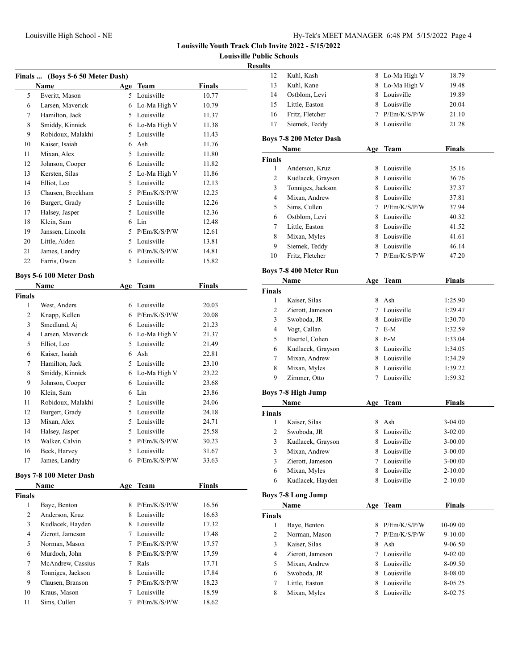**Louisville Public Schools**

### **Resu**

|                    | Finals  (Boys 5-6 50 Meter Dash) |     |                |               |
|--------------------|----------------------------------|-----|----------------|---------------|
|                    | Name                             | Age | <b>Team</b>    | <b>Finals</b> |
| 5                  | Everitt, Mason                   | 5   | Louisville     | 10.77         |
| 6                  | Larsen, Maverick                 |     | 6 Lo-Ma High V | 10.79         |
| 7                  | Hamilton, Jack                   |     | 5 Louisville   | 11.37         |
| 8                  | Smiddy, Kinnick                  |     | 6 Lo-Ma High V | 11.38         |
| 9                  | Robidoux, Malakhi                |     | 5 Louisville   | 11.43         |
| 10                 | Kaiser, Isaiah                   |     | 6 Ash          | 11.76         |
| 11                 | Mixan, Alex                      |     | 5 Louisville   | 11.80         |
| 12                 | Johnson, Cooper                  |     | 6 Louisville   | 11.82         |
| 13                 | Kersten, Silas                   |     | 5 Lo-Ma High V | 11.86         |
| 14                 | Elliot, Leo                      |     | 5 Louisville   | 12.13         |
| 15                 | Clausen, Breckham                |     | 5 P/Em/K/S/P/W | 12.25         |
| 16                 | Burgert, Grady                   |     | 5 Louisville   | 12.26         |
| 17                 | Halsey, Jasper                   | 5   | Louisville     | 12.36         |
| 18                 | Klein, Sam                       |     | 6 Lin          | 12.48         |
| 19                 | Janssen, Lincoln                 |     | 5 P/Em/K/S/P/W | 12.61         |
| 20                 | Little, Aiden                    |     | 5 Louisville   | 13.81         |
| 21                 | James, Landry                    |     | 6 P/Em/K/S/P/W | 14.81         |
| 22                 | Farris, Owen                     |     | 5 Louisville   | 15.82         |
|                    |                                  |     |                |               |
|                    | <b>Boys 5-6 100 Meter Dash</b>   |     |                |               |
|                    | Name                             |     | Age Team       | <b>Finals</b> |
| <b>Finals</b><br>1 | West, Anders                     | 6   | Louisville     |               |
| 2                  | Knapp, Kellen                    |     | 6 P/Em/K/S/P/W | 20.03         |
|                    |                                  |     |                | 20.08         |
| 3                  | Smedlund, Aj                     |     | 6 Louisville   | 21.23         |
| 4                  | Larsen, Maverick                 |     | 6 Lo-Ma High V | 21.37         |
| 5                  | Elliot, Leo                      |     | 5 Louisville   | 21.49         |
| 6                  | Kaiser, Isaiah                   |     | 6 Ash          | 22.81         |
| 7                  | Hamilton, Jack                   |     | 5 Louisville   | 23.10         |
| 8                  | Smiddy, Kinnick                  |     | 6 Lo-Ma High V | 23.22         |
| 9                  | Johnson, Cooper                  |     | 6 Louisville   | 23.68         |
| 10                 | Klein, Sam                       |     | 6 Lin          | 23.86         |
| 11                 | Robidoux, Malakhi                |     | 5 Louisville   | 24.06         |
| 12                 | Burgert, Grady                   |     | 5 Louisville   | 24.18         |
| 13                 | Mixan, Alex                      | 5   | Louisville     | 24.71         |
| 14                 | Halsey, Jasper                   | 5   | Louisville     | 25.58         |
| 15                 | Walker, Calvin                   | 5   | P/Em/K/S/P/W   | 30.23         |
| 16                 | Beck, Harvey                     |     | 5 Louisville   | 31.67         |
| 17                 | James, Landry                    |     | 6 P/Em/K/S/P/W | 33.63         |
|                    | Boys 7-8 100 Meter Dash          |     |                |               |
|                    | Name                             | Age | Team           | <b>Finals</b> |
| <b>Finals</b>      |                                  |     |                |               |
| 1                  | Baye, Benton                     | 8   | P/Em/K/S/P/W   | 16.56         |
| 2                  | Anderson, Kruz                   | 8   | Louisville     | 16.63         |
| 3                  | Kudlacek, Hayden                 |     | 8 Louisville   | 17.32         |
| 4                  | Zierott, Jameson                 |     | 7 Louisville   | 17.48         |
| 5                  | Norman, Mason                    |     | 7 P/Em/K/S/P/W | 17.57         |
| 6                  | Murdoch, John                    |     | 8 P/Em/K/S/P/W | 17.59         |
| 7                  | McAndrew, Cassius                |     | 7 Rals         | 17.71         |
| 8                  | Tonniges, Jackson                |     | 8 Louisville   | 17.84         |
| 9                  | Clausen, Branson                 |     | 7 P/Em/K/S/P/W | 18.23         |
| 10                 | Kraus, Mason                     |     | 7 Louisville   | 18.59         |
| 11                 | Sims, Cullen                     | 7   | P/Em/K/S/P/W   | 18.62         |
|                    |                                  |     |                |               |

| ults          |                                    |                 |                          |                        |  |
|---------------|------------------------------------|-----------------|--------------------------|------------------------|--|
| 12            | Kuhl, Kash                         |                 | 8 Lo-Ma High V           | 18.79                  |  |
| 13            | Kuhl, Kane                         |                 | 8 Lo-Ma High V           | 19.48                  |  |
| 14            | Ostblom, Levi                      |                 | 8 Louisville             | 19.89                  |  |
| 15            | Little, Easton                     |                 | 8 Louisville             | 20.04                  |  |
| 16            | Fritz, Fletcher                    |                 | 7 P/Em/K/S/P/W           | 21.10                  |  |
| 17            | Siemek, Teddy                      |                 | 8 Louisville             | 21.28                  |  |
|               | Boys 7-8 200 Meter Dash            |                 |                          |                        |  |
|               | Name                               |                 | Age Team                 | <b>Finals</b>          |  |
| Finals        |                                    |                 |                          |                        |  |
| 1             | Anderson, Kruz                     | 8               | Louisville               | 35.16                  |  |
| 2             | Kudlacek, Grayson                  |                 | 8 Louisville             | 36.76                  |  |
| 3             | Tonniges, Jackson                  |                 | 8 Louisville             | 37.37                  |  |
| 4             | Mixan, Andrew                      |                 | 8 Louisville             | 37.81                  |  |
| 5             | Sims, Cullen                       |                 | 7 P/Em/K/S/P/W           | 37.94                  |  |
| 6             | Ostblom, Levi                      |                 | 8 Louisville             | 40.32                  |  |
| 7             | Little, Easton                     |                 | 8 Louisville             | 41.52                  |  |
| 8             | Mixan, Myles                       |                 | 8 Louisville             | 41.61                  |  |
| 9             | Siemek, Teddy                      |                 | 8 Louisville             | 46.14                  |  |
| 10            | Fritz, Fletcher                    | $7^{\circ}$     | P/Em/K/S/P/W             | 47.20                  |  |
|               | Boys 7-8 400 Meter Run             |                 |                          |                        |  |
|               | Name                               |                 | Age Team                 | <b>Finals</b>          |  |
| <b>Finals</b> |                                    |                 |                          |                        |  |
| 1             | Kaiser, Silas                      | 8               | Ash                      | 1:25.90                |  |
| 2             | Zierott, Jameson                   |                 | 7 Louisville             | 1:29.47                |  |
| 3             | Swoboda, JR                        |                 | 8 Louisville             | 1:30.70                |  |
| 4             | Vogt, Callan                       |                 | $7 E-M$                  | 1:32.59                |  |
| 5             | Haertel, Cohen                     |                 | 8 E-M                    | 1:33.04                |  |
| 6             | Kudlacek, Grayson                  |                 | 8 Louisville             | 1:34.05                |  |
| 7             | Mixan, Andrew                      |                 | 8 Louisville             | 1:34.29                |  |
| 8             | Mixan, Myles                       |                 | 8 Louisville             | 1:39.22                |  |
| 9             | Zimmer, Otto                       | $7^{\circ}$     | Louisville               | 1:59.32                |  |
|               |                                    |                 |                          |                        |  |
|               | <b>Boys 7-8 High Jump</b>          |                 |                          |                        |  |
|               | Name                               |                 | Age Team                 | <b>Finals</b>          |  |
| Finals        |                                    |                 |                          |                        |  |
| 1<br>2        | Kaiser, Silas                      | 8               | Ash<br>Louisville        | $3-04.00$              |  |
|               | Swoboda, JR                        | 8               |                          | 3-02.00                |  |
| 3<br>3        | Kudlacek, Grayson<br>Mixan, Andrew | 8<br>8          | Louisville<br>Louisville | 3-00.00<br>$3 - 00.00$ |  |
| 3             | Zierott, Jameson                   |                 | 7 Louisville             | 3-00.00                |  |
| 6             | Mixan, Myles                       |                 | 8 Louisville             | 2-10.00                |  |
| 6             | Kudlacek, Hayden                   | 8               | Louisville               | $2 - 10.00$            |  |
|               |                                    |                 |                          |                        |  |
|               | <b>Boys 7-8 Long Jump</b>          |                 |                          |                        |  |
|               | Name                               | Age             | <b>Team</b>              | <b>Finals</b>          |  |
| <b>Finals</b> |                                    |                 |                          |                        |  |
| 1             | Baye, Benton                       | 8               | P/Em/K/S/P/W             | 10-09.00               |  |
| 2             | Norman, Mason                      | 7               | P/Em/K/S/P/W             | 9-10.00                |  |
| 3             | Kaiser, Silas                      | 8               | Ash                      | 9-06.50                |  |
| 4             | Zierott, Jameson                   | $7\phantom{.0}$ | Louisville               | $9 - 02.00$            |  |
| 5             | Mixan, Andrew                      |                 | 8 Louisville             | 8-09.50                |  |
| 6             | Swoboda, JR                        |                 | 8 Louisville             | 8-08.00                |  |
| 7             | Little, Easton                     | 8               | Louisville               | 8-05.25                |  |
| 8             | Mixan, Myles                       | 8               | Louisville               | 8-02.75                |  |
|               |                                    |                 |                          |                        |  |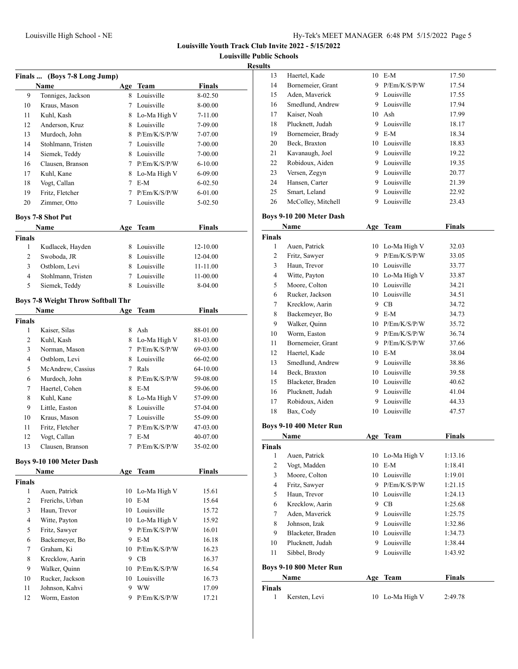**Louisville Public Schools**

### **Results**

|                | Finals  (Boys 7-8 Long Jump)              |        |                  |               |  |
|----------------|-------------------------------------------|--------|------------------|---------------|--|
|                | Name                                      |        | Age Team         | <b>Finals</b> |  |
| 9              | Tonniges, Jackson                         | 8      | Louisville       | 8-02.50       |  |
| 10             | Kraus, Mason                              | 7      | Louisville       | 8-00.00       |  |
| 11             | Kuhl, Kash                                |        | 8 Lo-Ma High V   | 7-11.00       |  |
| 12             | Anderson, Kruz                            |        | 8 Louisville     | 7-09.00       |  |
| 13             | Murdoch, John                             | 8      | P/Em/K/S/P/W     | 7-07.00       |  |
| 14             | Stohlmann, Tristen                        |        | 7 Louisville     | 7-00.00       |  |
| 14             | Siemek, Teddy                             |        | 8 Louisville     | 7-00.00       |  |
| 16             | Clausen, Branson                          |        | 7 P/Em/K/S/P/W   | $6 - 10.00$   |  |
| 17             | Kuhl, Kane                                |        | 8 Lo-Ma High V   | 6-09.00       |  |
| 18             | Vogt, Callan                              |        | $7$ E-M          | 6-02.50       |  |
| 19             | Fritz, Fletcher                           |        | $7$ P/Em/K/S/P/W | 6-01.00       |  |
| 20             | Zimmer, Otto                              | 7      | Louisville       | 5-02.50       |  |
|                |                                           |        |                  |               |  |
|                | <b>Boys 7-8 Shot Put</b>                  |        |                  |               |  |
|                | Name                                      | Age    | Team             | Finals        |  |
| <b>Finals</b>  |                                           |        |                  |               |  |
| 1              | Kudlacek, Hayden                          |        | 8 Louisville     | 12-10.00      |  |
| 2              | Swoboda, JR                               |        | 8 Louisville     | 12-04.00      |  |
| 3              | Ostblom, Levi                             |        | 8 Louisville     | 11-11.00      |  |
| 4              | Stohlmann, Tristen                        |        | 7 Louisville     | 11-00.00      |  |
| 5              | Siemek, Teddy                             | 8      | Louisville       | 8-04.00       |  |
|                | <b>Boys 7-8 Weight Throw Softball Thr</b> |        |                  |               |  |
|                | Name                                      | Age    | Team             | Finals        |  |
| <b>Finals</b>  |                                           |        |                  |               |  |
| 1              | Kaiser, Silas                             | 8      | Ash              | 88-01.00      |  |
| 2              | Kuhl, Kash                                |        | 8 Lo-Ma High V   | 81-03.00      |  |
| 3              | Norman, Mason                             | $\tau$ | P/Em/K/S/P/W     | 69-03.00      |  |
| 4              | Ostblom, Levi                             | 8      | Louisville       | 66-02.00      |  |
| 5              | McAndrew, Cassius                         | 7      | Rals             | 64-10.00      |  |
| 6              | Murdoch, John                             | 8      | P/Em/K/S/P/W     | 59-08.00      |  |
| 7              | Haertel, Cohen                            | 8      | E-M              | 59-06.00      |  |
| 8              | Kuhl, Kane                                | 8      | Lo-Ma High V     | 57-09.00      |  |
| 9              | Little, Easton                            | 8      | Louisville       | 57-04.00      |  |
| 10             | Kraus, Mason                              |        | 7 Louisville     | 55-09.00      |  |
| 11             | Fritz, Fletcher                           |        | 7 P/Em/K/S/P/W   | 47-03.00      |  |
| 12             | Vogt, Callan                              | 7      | $E-M$            | 40-07.00      |  |
| 13             | Clausen, Branson                          | 7      | P/Em/K/S/P/W     | 35-02.00      |  |
|                |                                           |        |                  |               |  |
|                | Boys 9-10 100 Meter Dash                  |        |                  |               |  |
|                | Name                                      |        | Age Team         | <b>Finals</b> |  |
| <b>Finals</b>  |                                           |        |                  |               |  |
| 1              | Auen, Patrick                             | 10     | Lo-Ma High V     | 15.61         |  |
| 2              | Frerichs, Urban                           | 10     | $E-M$            | 15.64         |  |
| 3              | Haun, Trevor                              |        | 10 Louisville    | 15.72         |  |
| $\overline{4}$ | Witte, Payton                             |        | 10 Lo-Ma High V  | 15.92         |  |
| 5              | Fritz, Sawyer                             |        | 9 P/Em/K/S/P/W   | 16.01         |  |
| 6              | Backemever, Bo                            |        | 9 E-M            | 16.18         |  |
| 7              | Graham, Ki                                |        | 10 P/Em/K/S/P/W  | 16.23         |  |
| 8              | Krecklow, Aarin                           |        | $9$ CB           | 16.37         |  |
| 9              | Walker, Quinn                             |        | 10 P/Em/K/S/P/W  | 16.54         |  |
| 10             | Rucker, Jackson                           |        | 10 Louisville    | 16.73         |  |
| 11             | Johnson, Kahvi                            | 9      | <b>WW</b>        | 17.09         |  |
| 12             | Worm, Easton                              | 9.     | P/Em/K/S/P/W     | 17.21         |  |
|                |                                           |        |                  |               |  |

| LS. |    |                    |    |              |       |
|-----|----|--------------------|----|--------------|-------|
|     | 13 | Haertel, Kade      |    | $10$ E-M     | 17.50 |
|     | 14 | Bornemeier, Grant  | 9  | P/Em/K/S/P/W | 17.54 |
|     | 15 | Aden, Maverick     | 9  | Louisville   | 17.55 |
|     | 16 | Smedlund, Andrew   | 9  | Louisville   | 17.94 |
|     | 17 | Kaiser, Noah       |    | 10 Ash       | 17.99 |
|     | 18 | Plucknett, Judah   | 9  | Louisville   | 18.17 |
|     | 19 | Bornemeier, Brady  | 9  | $E-M$        | 18.34 |
|     | 20 | Beck, Braxton      | 10 | Louisville   | 18.83 |
|     | 21 | Kavanaugh, Joel    | 9  | Louisville   | 19.22 |
|     | 22 | Robidoux, Aiden    | 9  | Louisville   | 19.35 |
|     | 23 | Versen, Zegyn      | 9  | Louisville   | 20.77 |
|     | 24 | Hansen, Carter     | 9  | Louisville   | 21.39 |
|     | 25 | Smart, Leland      | 9  | Louisville   | 22.92 |
|     | 26 | McColley, Mitchell | 9  | Louisville   | 23.43 |
|     |    |                    |    |              |       |

### **Boys 9-10 200 Meter Dash**

|                | Name                    | Age | <b>Team</b>     | Finals        |
|----------------|-------------------------|-----|-----------------|---------------|
| <b>Finals</b>  |                         |     |                 |               |
| 1              | Auen, Patrick           | 10  | Lo-Ma High V    | 32.03         |
| $\overline{c}$ | Fritz, Sawyer           | 9   | P/Em/K/S/P/W    | 33.05         |
| 3              | Haun, Trevor            |     | 10 Louisville   | 33.77         |
| 4              | Witte, Payton           |     | 10 Lo-Ma High V | 33.87         |
| 5              | Moore, Colton           |     | 10 Louisville   | 34.21         |
| 6              | Rucker, Jackson         |     | 10 Louisville   | 34.51         |
| $\tau$         | Krecklow, Aarin         |     | 9 CB            | 34.72         |
| 8              | Backemeyer, Bo          |     | 9 E-M           | 34.73         |
| 9              | Walker, Ouinn           |     | 10 P/Em/K/S/P/W | 35.72         |
| 10             | Worm, Easton            |     | 9 P/Em/K/S/P/W  | 36.74         |
| 11             | Bornemeier, Grant       | 9   | P/Em/K/S/P/W    | 37.66         |
| 12             | Haertel, Kade           |     | 10 E-M          | 38.04         |
| 13             | Smedlund, Andrew        |     | 9 Louisville    | 38.86         |
| 14             | Beck, Braxton           |     | 10 Louisville   | 39.58         |
| 15             | Blacketer, Braden       |     | 10 Louisville   | 40.62         |
| 16             | Plucknett, Judah        |     | 9 Louisville    | 41.04         |
| 17             | Robidoux, Aiden         |     | 9 Louisville    | 44.33         |
| 18             | Bax, Cody               | 10  | Louisville      | 47.57         |
|                | Boys 9-10 400 Meter Run |     |                 |               |
|                | Name                    | Age | <b>Team</b>     | <b>Finals</b> |
| <b>Finals</b>  |                         |     |                 |               |
| 1              | Auen, Patrick           | 10  | Lo-Ma High V    | 1:13.16       |
| $\overline{c}$ | Vogt, Madden            | 10  | $E-M$           | 1:18.41       |
| 3              | Moore, Colton           | 10  | Louisville      | 1:19.01       |
| 4              | Fritz, Sawyer           |     | 9 P/Em/K/S/P/W  | 1:21.15       |
| 5              | Haun, Trevor            |     | 10 Louisville   | 1:24.13       |
| 6              | Krecklow, Aarin         |     | 9 CB            | 1:25.68       |
| 7              | Aden, Maverick          |     | 9 Louisville    | 1:25.75       |
| 8              | Johnson, Izak           |     | 9 Louisville    | 1:32.86       |
| 9              | Blacketer, Braden       |     | 10 Louisville   | 1:34.73       |
| 10             | Plucknett, Judah        | 9   | Louisville      | 1:38.44       |
| 11             | Sibbel, Brody           | 9   | Louisville      | 1:43.92       |
|                |                         |     |                 |               |

# **Boys 9-10 800 Meter Run**

|               | Name          | Age Team        | <b>Finals</b> |  |
|---------------|---------------|-----------------|---------------|--|
| <b>Finals</b> |               |                 |               |  |
|               | Kersten, Levi | 10 Lo-Ma High V | 2:49.78       |  |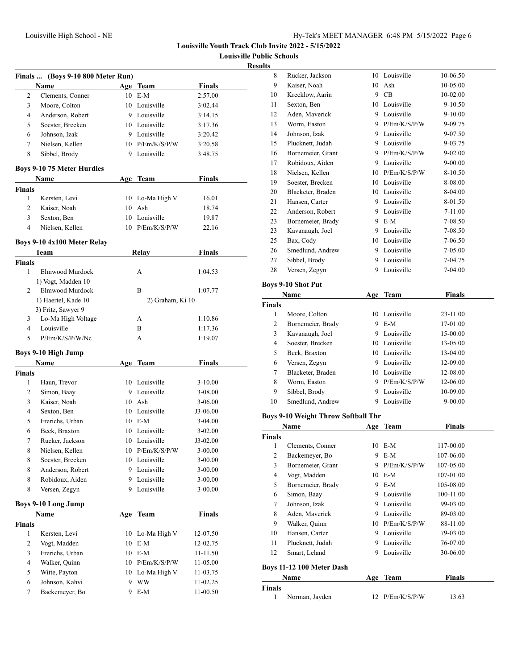**Louisville Public Schools**

### **Results**

|                | Finals  (Boys 9-10 800 Meter Run) |     |                  |               |
|----------------|-----------------------------------|-----|------------------|---------------|
|                | <b>Name</b>                       |     | Age Team         | <b>Finals</b> |
| 2              | Clements, Conner                  |     | 10 E-M           | 2:57.00       |
| 3              | Moore, Colton                     |     | 10 Louisville    | 3:02.44       |
| 4              | Anderson, Robert                  |     | 9 Louisville     | 3:14.15       |
| 5              | Soester, Brecken                  |     | 10 Louisville    | 3:17.36       |
| 6              | Johnson, Izak                     |     | 9 Louisville     | 3:20.42       |
| 7              | Nielsen, Kellen                   |     | 10 P/Em/K/S/P/W  | 3:20.58       |
| 8              | Sibbel, Brody                     |     | 9 Louisville     | 3:48.75       |
|                | <b>Boys 9-10 75 Meter Hurdles</b> |     |                  |               |
|                | Name                              |     | Age Team         | <b>Finals</b> |
| Finals         |                                   |     |                  |               |
| 1              | Kersten, Levi                     |     | 10 Lo-Ma High V  | 16.01         |
| 2              | Kaiser, Noah                      | 10  | Ash              | 18.74         |
| 3              | Sexton, Ben                       | 10  | Louisville       | 19.87         |
| $\overline{4}$ | Nielsen, Kellen                   |     | 10 P/Em/K/S/P/W  | 22.16         |
|                | Boys 9-10 4x100 Meter Relay       |     |                  |               |
|                | Team                              |     | <b>Relay</b>     | <b>Finals</b> |
| <b>Finals</b>  |                                   |     |                  |               |
| 1              | Elmwood Murdock                   |     | A                | 1:04.53       |
|                | 1) Vogt, Madden 10                |     |                  |               |
| $\overline{c}$ | Elmwood Murdock                   |     | B                | 1:07.77       |
|                | 1) Haertel, Kade 10               |     | 2) Graham, Ki 10 |               |
|                | 3) Fritz, Sawyer 9                |     |                  |               |
| 3              | Lo-Ma High Voltage                |     | A                | 1:10.86       |
| 4              | Louisville                        |     | B                | 1:17.36       |
| 5              | P/Em/K/S/P/W/Nc                   |     | A                | 1:19.07       |
|                | <b>Boys 9-10 High Jump</b>        |     |                  |               |
|                | Name                              | Age | Team             | <b>Finals</b> |
| <b>Finals</b>  |                                   |     |                  |               |
| 1              | Haun, Trevor                      |     | 10 Louisville    | 3-10.00       |
| 2              | Simon, Baay                       | 9   | Louisville       | 3-08.00       |
| 3              | Kaiser, Noah                      |     | 10 Ash           | 3-06.00       |
| 4              | Sexton, Ben                       |     | 10 Louisville    | J3-06.00      |
| 5              | Frerichs, Urban                   |     | 10 E-M           | $3-04.00$     |
| 6              | Beck, Braxton                     |     | 10 Louisville    | $3 - 02.00$   |
| 7              | Rucker, Jackson                   |     | 10 Louisville    | J3-02.00      |
| 8              | Nielsen, Kellen                   |     | 10 P/Em/K/S/P/W  | 3-00.00       |
| 8              | Soester, Brecken                  | 10  | Louisville       | $3 - 00.00$   |
| 8              | Anderson, Robert                  | 9   | Louisville       | 3-00.00       |
| 8              | Robidoux, Aiden                   | 9   | Louisville       | 3-00.00       |
| 8              | Versen, Zegyn                     | 9   | Louisville       | $3 - 00.00$   |
|                | <b>Boys 9-10 Long Jump</b>        |     |                  |               |
|                | Name                              | Age | <b>Team</b>      | <b>Finals</b> |
| <b>Finals</b>  |                                   |     |                  |               |
| $\mathbf{1}$   | Kersten, Levi                     | 10  | Lo-Ma High V     | 12-07.50      |
| 2              | Vogt, Madden                      | 10  | $E-M$            | 12-02.75      |
| 3              | Frerichs, Urban                   |     | 10 E-M           | 11-11.50      |
| 4              | Walker, Quinn                     |     | 10 P/Em/K/S/P/W  | 11-05.00      |
| 5              | Witte, Payton                     |     | 10 Lo-Ma High V  | 11-03.75      |
| 6              | Johnson, Kahvi                    | 9   | <b>WW</b>        | 11-02.25      |
| 7              | Backemeyer, Bo                    | 9   | $E-M$            | 11-00.50      |
|                |                                   |     |                  |               |

| ,,,,,         |                                            |    |                 |               |  |
|---------------|--------------------------------------------|----|-----------------|---------------|--|
| 8             | Rucker, Jackson                            | 10 | Louisville      | 10-06.50      |  |
| 9             | Kaiser, Noah                               | 10 | Ash             | 10-05.00      |  |
| 10            | Krecklow, Aarin                            |    | 9 CB            | 10-02.00      |  |
| 11            | Sexton, Ben                                |    | 10 Louisville   | 9-10.50       |  |
| 12            | Aden, Maverick                             |    | 9 Louisville    | 9-10.00       |  |
| 13            | Worm, Easton                               |    | 9 P/Em/K/S/P/W  | 9-09.75       |  |
| 14            | Johnson, Izak                              |    | 9 Louisville    | 9-07.50       |  |
| 15            | Plucknett, Judah                           |    | 9 Louisville    | 9-03.75       |  |
| 16            | Bornemeier, Grant                          |    | 9 P/Em/K/S/P/W  | 9-02.00       |  |
| 17            | Robidoux, Aiden                            |    | 9 Louisville    | 9-00.00       |  |
| 18            | Nielsen, Kellen                            |    | 10 P/Em/K/S/P/W | 8-10.50       |  |
| 19            | Soester, Brecken                           |    | 10 Louisville   | 8-08.00       |  |
| 20            | Blacketer, Braden                          |    | 10 Louisville   | 8-04.00       |  |
| 21            | Hansen, Carter                             |    | 9 Louisville    | 8-01.50       |  |
| 22            | Anderson, Robert                           |    | 9 Louisville    | 7-11.00       |  |
| 23            | Bornemeier, Brady                          |    | 9 E-M           | 7-08.50       |  |
| 23            | Kavanaugh, Joel                            |    | 9 Louisville    | 7-08.50       |  |
| 25            | Bax, Cody                                  |    | 10 Louisville   | 7-06.50       |  |
| 26            | Smedlund, Andrew                           |    | 9 Louisville    | 7-05.00       |  |
| 27            | Sibbel, Brody                              |    | 9 Louisville    | 7-04.75       |  |
| 28            | Versen, Zegyn                              | 9  | Louisville      | 7-04.00       |  |
|               |                                            |    |                 |               |  |
|               | <b>Boys 9-10 Shot Put</b>                  |    |                 |               |  |
|               | Name                                       |    | Age Team        | <b>Finals</b> |  |
| <b>Finals</b> |                                            |    |                 |               |  |
| 1             | Moore, Colton                              |    | 10 Louisville   | 23-11.00      |  |
| 2             | Bornemeier, Brady                          |    | 9 E-M           | 17-01.00      |  |
| 3             | Kavanaugh, Joel                            |    | 9 Louisville    | 15-00.00      |  |
| 4             | Soester, Brecken                           |    | 10 Louisville   | 13-05.00      |  |
| 5             | Beck, Braxton                              |    | 10 Louisville   | 13-04.00      |  |
| 6             | Versen, Zegyn                              |    | 9 Louisville    | 12-09.00      |  |
| 7             | Blacketer, Braden                          |    | 10 Louisville   | 12-08.00      |  |
| 8             | Worm, Easton                               |    | 9 P/Em/K/S/P/W  | 12-06.00      |  |
| 9             | Sibbel, Brody                              |    | 9 Louisville    | 10-09.00      |  |
| 10            | Smedlund, Andrew                           | 9  | Louisville      | 9-00.00       |  |
|               | <b>Boys 9-10 Weight Throw Softball Thr</b> |    |                 |               |  |
|               | Name                                       |    | Age Team        | <b>Finals</b> |  |
| <b>Finals</b> |                                            |    |                 |               |  |
|               | 1 Clements, Conner                         |    | 10 E-M          | 117-00.00     |  |
| 2             | Backemeyer, Bo                             |    | 9 E-M           | 107-06.00     |  |
| 3             | Bornemeier, Grant                          | 9  | P/Em/K/S/P/W    | 107-05.00     |  |
| 4             | Vogt, Madden                               | 10 | $E-M$           | 107-01.00     |  |
| 5             | Bornemeier, Brady                          | 9. | $E-M$           | 105-08.00     |  |
| 6             | Simon, Baay                                |    | 9 Louisville    | 100-11.00     |  |
| 7             | Johnson, Izak                              |    | 9 Louisville    | 99-03.00      |  |
| 8             | Aden, Maverick                             |    | 9 Louisville    | 89-03.00      |  |
| 9             | Walker, Quinn                              |    | 10 P/Em/K/S/P/W | 88-11.00      |  |
| 10            | Hansen, Carter                             |    | 9 Louisville    | 79-03.00      |  |
| 11            | Plucknett, Judah                           |    | 9 Louisville    | 76-07.00      |  |
| 12            | Smart, Leland                              | 9  | Louisville      | 30-06.00      |  |
|               |                                            |    |                 |               |  |
|               | Boys 11-12 100 Meter Dash                  |    |                 |               |  |
|               | Name                                       |    | Age Team        | <b>Finals</b> |  |
| <b>Finals</b> |                                            |    |                 |               |  |
| 1             | Norman, Jayden                             |    | 12 P/Em/K/S/P/W | 13.63         |  |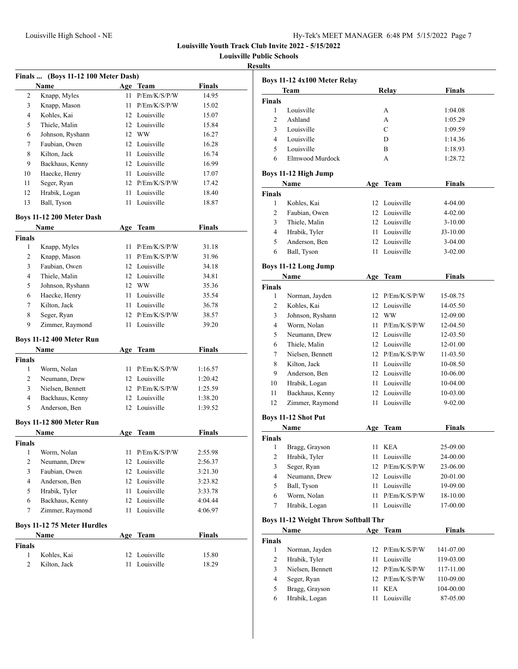**Louisville Public Schools**

### **Results**

| Finals  (Boys 11-12 100 Meter Dash)         |                                 |      |                 |               |  |
|---------------------------------------------|---------------------------------|------|-----------------|---------------|--|
|                                             | <b>Name</b>                     |      | Age Team        | <b>Finals</b> |  |
| 2                                           | Knapp, Myles                    | 11   | P/Em/K/S/P/W    | 14.95         |  |
| 3                                           | Knapp, Mason                    | 11 - | P/Em/K/S/P/W    | 15.02         |  |
| 4                                           | Kohles, Kai                     |      | 12 Louisville   | 15.07         |  |
| 5                                           | Thiele, Malin                   |      | 12 Louisville   | 15.84         |  |
| 6                                           | Johnson, Ryshann                |      | 12 WW           | 16.27         |  |
| 7                                           | Faubian, Owen                   |      | 12 Louisville   | 16.28         |  |
| 8                                           | Kilton, Jack                    |      | 11 Louisville   | 16.74         |  |
| 9                                           | Backhaus, Kenny                 |      | 12 Louisville   | 16.99         |  |
| 10                                          | Haecke, Henry                   |      | 11 Louisville   | 17.07         |  |
| 11                                          | Seger, Ryan                     |      | 12 P/Em/K/S/P/W | 17.42         |  |
| 12                                          | Hrabik, Logan                   |      | 11 Louisville   | 18.40         |  |
| 13                                          | Ball, Tyson                     | 11 - | Louisville      | 18.87         |  |
|                                             | Boys 11-12 200 Meter Dash       |      |                 |               |  |
|                                             | Name                            | Age  | <b>Team</b>     | <b>Finals</b> |  |
| <b>Finals</b>                               |                                 |      |                 |               |  |
| 1                                           | Knapp, Myles                    | 11   | P/Em/K/S/P/W    | 31.18         |  |
| 2                                           | Knapp, Mason                    | 11 - | P/Em/K/S/P/W    | 31.96         |  |
| 3                                           | Faubian, Owen                   |      | 12 Louisville   | 34.18         |  |
| 4                                           | Thiele, Malin                   |      | 12 Louisville   | 34.81         |  |
| 5                                           | Johnson, Ryshann                |      | 12 WW           | 35.36         |  |
| 6                                           | Haecke, Henry                   | 11 - | Louisville      | 35.54         |  |
| 7                                           | Kilton, Jack                    | 11 - | Louisville      | 36.78         |  |
| 8                                           | Seger, Ryan                     |      | 12 P/Em/K/S/P/W | 38.57         |  |
| 9                                           | Zimmer, Raymond                 | 11   | Louisville      | 39.20         |  |
|                                             | <b>Boys 11-12 400 Meter Run</b> |      |                 |               |  |
|                                             | Name                            | Age  | <b>Team</b>     | <b>Finals</b> |  |
| <b>Finals</b>                               |                                 |      |                 |               |  |
| 1                                           | Worm, Nolan                     | 11 - | P/Em/K/S/P/W    | 1:16.57       |  |
| 2                                           | Neumann, Drew                   |      | 12 Louisville   | 1:20.42       |  |
| 3                                           | Nielsen, Bennett                |      | 12 P/Em/K/S/P/W | 1:25.59       |  |
| 4                                           | Backhaus, Kenny                 |      | 12 Louisville   | 1:38.20       |  |
| 5                                           | Anderson, Ben                   |      | 12 Louisville   | 1:39.52       |  |
|                                             | Boys 11-12 800 Meter Run        |      |                 |               |  |
|                                             | <b>Name</b>                     |      | Age Team        | Finals        |  |
| <b>Finals</b>                               |                                 |      |                 |               |  |
| 1                                           | Worm, Nolan                     | 11   | P/Em/K/S/P/W    | 2:55.98       |  |
| 2                                           | Neumann, Drew                   |      | 12 Louisville   | 2:56.37       |  |
| 3                                           | Faubian, Owen                   |      | 12 Louisville   | 3:21.30       |  |
| 4                                           | Anderson, Ben                   |      | 12 Louisville   | 3:23.82       |  |
| 5                                           | Hrabik, Tyler                   | 11   | Louisville      | 3:33.78       |  |
| 6                                           | Backhaus, Kenny                 |      | 12 Louisville   | 4:04.44       |  |
| 7                                           | Zimmer, Raymond                 | 11   | Louisville      | 4:06.97       |  |
| <b>Boys 11-12 75 Meter Hurdles</b>          |                                 |      |                 |               |  |
| <b>Finals</b><br><b>Team</b><br>Name<br>Age |                                 |      |                 |               |  |
| <b>Finals</b>                               |                                 |      |                 |               |  |
| 1                                           | Kohles, Kai                     | 12   | Louisville      | 15.80         |  |
| 2                                           | Kilton, Jack                    | 11   | Louisville      | 18.29         |  |
|                                             |                                 |      |                 |               |  |

| Boys 11-12 4x100 Meter Relay                |                                     |     |                 |               |  |
|---------------------------------------------|-------------------------------------|-----|-----------------|---------------|--|
|                                             | Team                                |     | Relay           | Finals        |  |
| <b>Finals</b>                               |                                     |     |                 |               |  |
| 1                                           | Louisville                          |     | A               | 1:04.08       |  |
| 2                                           | Ashland                             |     | A               | 1:05.29       |  |
| 3                                           | Louisville                          |     | C               | 1:09.59       |  |
| 4                                           | Louisville                          |     | D               | 1:14.36       |  |
| 5                                           | Louisville                          |     | B               | 1:18.93       |  |
| 6                                           | Elmwood Murdock                     |     | A               | 1:28.72       |  |
|                                             |                                     |     |                 |               |  |
|                                             | <b>Boys 11-12 High Jump</b><br>Name |     | Age Team        | <b>Finals</b> |  |
| <b>Finals</b>                               |                                     |     |                 |               |  |
| 1                                           | Kohles, Kai                         |     | 12 Louisville   | 4-04.00       |  |
| 2                                           | Faubian, Owen                       |     | 12 Louisville   | $4 - 02.00$   |  |
| 3                                           | Thiele, Malin                       |     | 12 Louisville   | $3-10.00$     |  |
| 4                                           | Hrabik, Tyler                       |     | 11 Louisville   | J3-10.00      |  |
| 5                                           | Anderson, Ben                       |     | 12 Louisville   | $3-04.00$     |  |
| 6                                           | Ball, Tyson                         |     | 11 Louisville   | $3 - 02.00$   |  |
|                                             |                                     |     |                 |               |  |
|                                             | <b>Boys 11-12 Long Jump</b>         |     |                 |               |  |
|                                             | Name                                | Age | Team            | <b>Finals</b> |  |
| <b>Finals</b>                               |                                     |     |                 |               |  |
| 1                                           | Norman, Jayden                      |     | 12 P/Em/K/S/P/W | 15-08.75      |  |
| 2                                           | Kohles, Kai                         |     | 12 Louisville   | 14-05.50      |  |
| 3                                           | Johnson, Ryshann                    |     | 12 WW           | 12-09.00      |  |
| 4                                           | Worm, Nolan                         |     | 11 P/Em/K/S/P/W | 12-04.50      |  |
| 5                                           | Neumann, Drew                       |     | 12 Louisville   | 12-03.50      |  |
| 6                                           | Thiele, Malin                       |     | 12 Louisville   | 12-01.00      |  |
| 7                                           | Nielsen, Bennett                    |     | 12 P/Em/K/S/P/W | 11-03.50      |  |
| 8                                           | Kilton, Jack                        |     | 11 Louisville   | 10-08.50      |  |
| 9                                           | Anderson, Ben                       |     | 12 Louisville   | 10-06.00      |  |
| 10                                          | Hrabik, Logan                       |     | 11 Louisville   | 10-04.00      |  |
| 11                                          | Backhaus, Kenny                     |     | 12 Louisville   | 10-03.00      |  |
| 12                                          | Zimmer, Raymond                     | 11  | Louisville      | $9 - 02.00$   |  |
|                                             | <b>Boys 11-12 Shot Put</b>          |     |                 |               |  |
|                                             | Name                                |     | Age Team        | Finals        |  |
| <b>Finals</b>                               |                                     |     |                 |               |  |
|                                             | 1 Bragg, Grayson                    |     | 11 KEA          | 25-09.00      |  |
| 2                                           | Hrabik, Tyler                       | 11  | Louisville      | 24-00.00      |  |
| 3                                           | Seger, Ryan                         | 12  | P/Em/K/S/P/W    | 23-06.00      |  |
| 4                                           | Neumann, Drew                       | 12  | Louisville      | 20-01.00      |  |
| 5                                           | Ball, Tyson                         | 11  | Louisville      | 19-09.00      |  |
| $\boldsymbol{6}$                            | Worm, Nolan                         | 11  | P/Em/K/S/P/W    | 18-10.00      |  |
| 7                                           | Hrabik, Logan                       | 11  | Louisville      | 17-00.00      |  |
| <b>Boys 11-12 Weight Throw Softball Thr</b> |                                     |     |                 |               |  |
| Name                                        |                                     |     | Age Team        | <b>Finals</b> |  |
| <b>Finals</b>                               |                                     |     |                 |               |  |
| 1                                           | Norman, Jayden                      | 12  | P/Em/K/S/P/W    | 141-07.00     |  |
| $\mathfrak{2}$                              | Hrabik, Tyler                       | 11  | Louisville      | 119-03.00     |  |
| 3                                           | Nielsen, Bennett                    | 12  | P/Em/K/S/P/W    | 117-11.00     |  |
| 4                                           | Seger, Ryan                         | 12  | P/Em/K/S/P/W    | 110-09.00     |  |
| 5                                           | Bragg, Grayson                      | 11  | <b>KEA</b>      | 104-00.00     |  |

Hrabik, Logan 11 Louisville 87-05.00